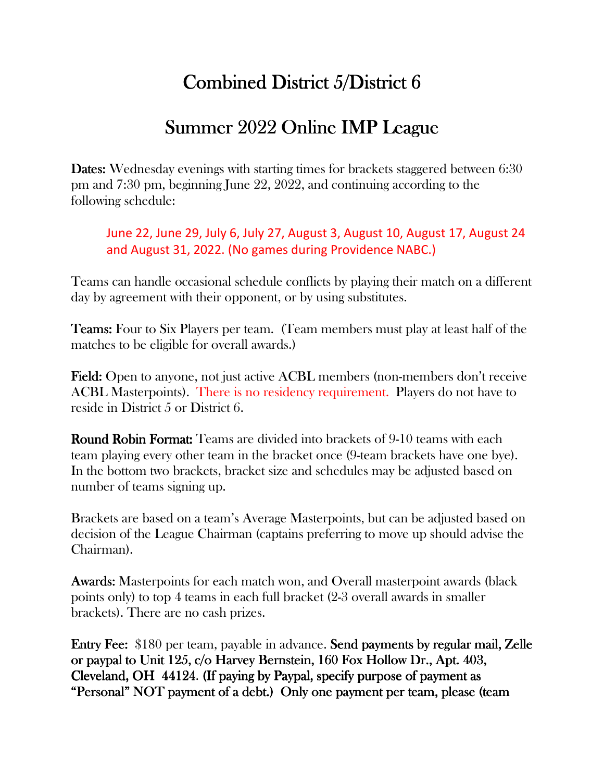## Combined District  $5/D$ istrict 6

## Summer 2022 Online IMP League

**Dates:** Wednesday evenings with starting times for brackets staggered between 6:30 pm and 7:30 pm, beginning June 22, 2022, and continuing according to the following schedule:

June 22, June 29, July 6, July 27, August 3, August 10, August 17, August 24 and August 31, 2022. (No games during Providence NABC.)

Teams can handle occasional schedule conflicts by playing their match on a different day by agreement with their opponent, or by using substitutes.

**Teams:** Four to Six Players per team. (Team members must play at least half of the matches to be eligible for overall awards.)

Field: Open to anyone, not just active ACBL members (non-members don't receive ACBL Masterpoints). There is no residency requirement. Players do not have to reside in District 5 or District 6.

**Round Robin Format:** Teams are divided into brackets of 9-10 teams with each team playing every other team in the bracket once (9-team brackets have one bye). In the bottom two brackets, bracket size and schedules may be adjusted based on number of teams signing up.

Brackets are based on a team's Average Masterpoints, but can be adjusted based on decision of the League Chairman (captains preferring to move up should advise the Chairman).

Awards: Masterpoints for each match won, and Overall masterpoint awards (black points only) to top 4 teams in each full bracket (2-3 overall awards in smaller brackets). There are no cash prizes.

Entry Fee: \$180 per team, payable in advance. Send payments by regular mail, Zelle or paypal to Unit 125, c/o Harvey Bernstein, 160 Fox Hollow Dr., Apt. 403, Cleveland, OH 44124. (If paying by Paypal, specify purpose of payment as "Personal" NOT payment of a debt.) Only one payment per team, please (team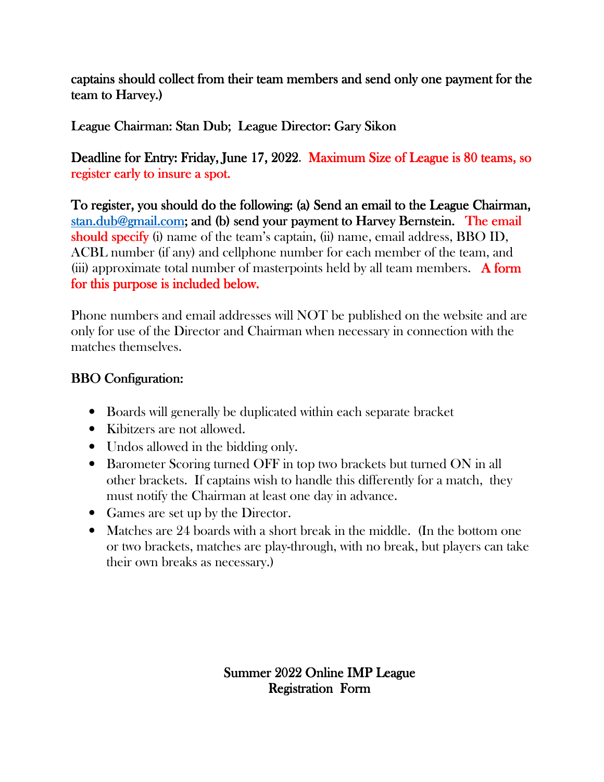captains should collect from their team members and send only one payment for the team to Harvey.)

League Chairman: Stan Dub; League Director: Gary Sikon

Deadline for Entry: Friday, June 17, 2022. Maximum Size of League is 80 teams, so register early to insure a spot.

To register, you should do the following: (a) Send an email to the League Chairman, stan.dub@gmail.com; and (b) send your payment to Harvey Bernstein. The email should specify (i) name of the team's captain, (ii) name, email address, BBO ID, ACBL number (if any) and cellphone number for each member of the team, and (iii) approximate total number of masterpoints held by all team members.  $\overrightarrow{A}$  form for this purpose is included below.

Phone numbers and email addresses will NOT be published on the website and are only for use of the Director and Chairman when necessary in connection with the matches themselves.

## **BBO Configuration:**

- Boards will generally be duplicated within each separate bracket
- Kibitzers are not allowed.
- Undos allowed in the bidding only.
- Barometer Scoring turned OFF in top two brackets but turned ON in all other brackets. If captains wish to handle this differently for a match, they must notify the Chairman at least one day in advance.
- Games are set up by the Director.
- Matches are 24 boards with a short break in the middle. (In the bottom one or two brackets, matches are play-through, with no break, but players can take their own breaks as necessary.)

Summer 2022 Online IMP League **Registration Form**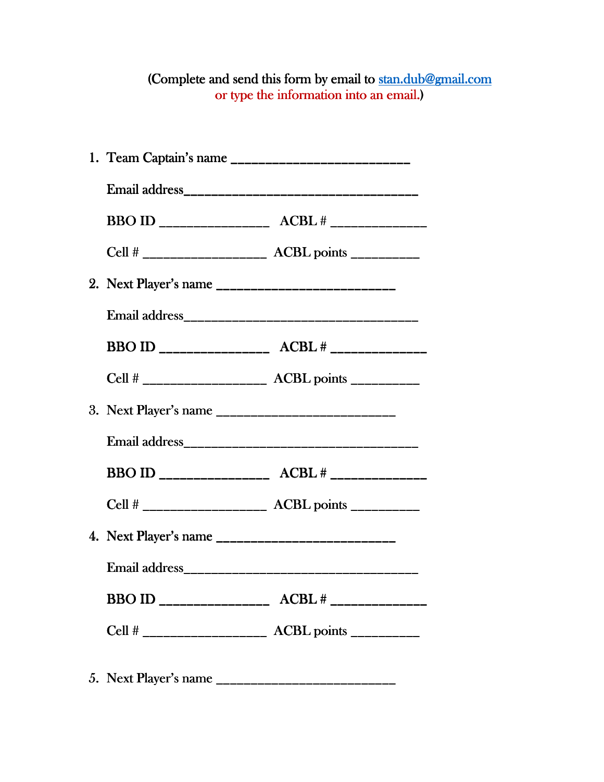## (Complete and send this form by email to stan.dub@gmail.com or type the information into an email.)

|  | Cell # ________________________ ACBL points __________ |  |
|--|--------------------------------------------------------|--|
|  |                                                        |  |
|  |                                                        |  |
|  |                                                        |  |
|  |                                                        |  |
|  |                                                        |  |
|  |                                                        |  |
|  |                                                        |  |
|  |                                                        |  |
|  |                                                        |  |